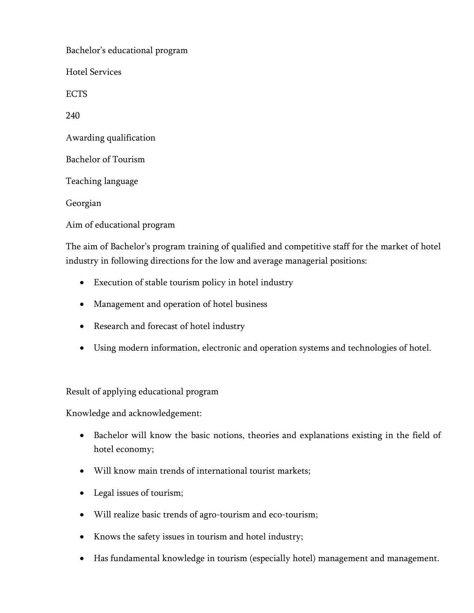Bachelor's educational program Hotel Services ECTS 240 Awarding qualification Bachelor of Tourism Teaching language Georgian Aim of educational program

The aim of Bachelor's program training of qualified and competitive staff for the market of hotel industry in following directions for the low and average managerial positions:

- Execution of stable tourism policy in hotel industry
- Management and operation of hotel business
- Research and forecast of hotel industry
- Using modern information, electronic and operation systems and technologies of hotel.

Result of applying educational program

Knowledge and acknowledgement:

- Bachelor will know the basic notions, theories and explanations existing in the field of hotel economy;
- Will know main trends of international tourist markets;
- Legal issues of tourism;
- Will realize basic trends of agro-tourism and eco-tourism;
- Knows the safety issues in tourism and hotel industry;
- Has fundamental knowledge in tourism (especially hotel) management and management.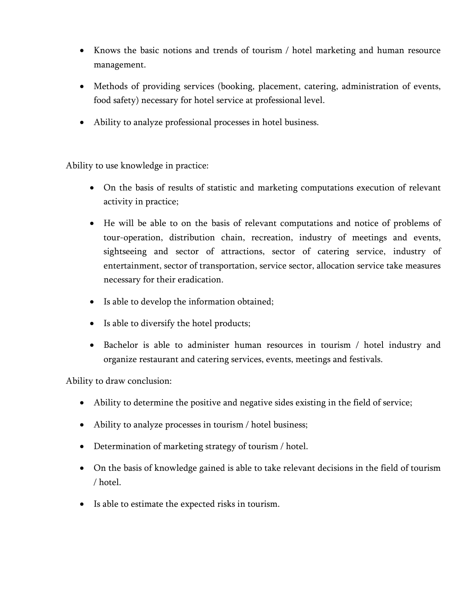- Knows the basic notions and trends of tourism / hotel marketing and human resource management.
- Methods of providing services (booking, placement, catering, administration of events, food safety) necessary for hotel service at professional level.
- Ability to analyze professional processes in hotel business.

Ability to use knowledge in practice:

- On the basis of results of statistic and marketing computations execution of relevant activity in practice;
- He will be able to on the basis of relevant computations and notice of problems of tour-operation, distribution chain, recreation, industry of meetings and events, sightseeing and sector of attractions, sector of catering service, industry of entertainment, sector of transportation, service sector, allocation service take measures necessary for their eradication.
- Is able to develop the information obtained;
- Is able to diversify the hotel products;
- Bachelor is able to administer human resources in tourism / hotel industry and organize restaurant and catering services, events, meetings and festivals.

Ability to draw conclusion:

- Ability to determine the positive and negative sides existing in the field of service;
- Ability to analyze processes in tourism / hotel business;
- Determination of marketing strategy of tourism / hotel.
- On the basis of knowledge gained is able to take relevant decisions in the field of tourism / hotel.
- Is able to estimate the expected risks in tourism.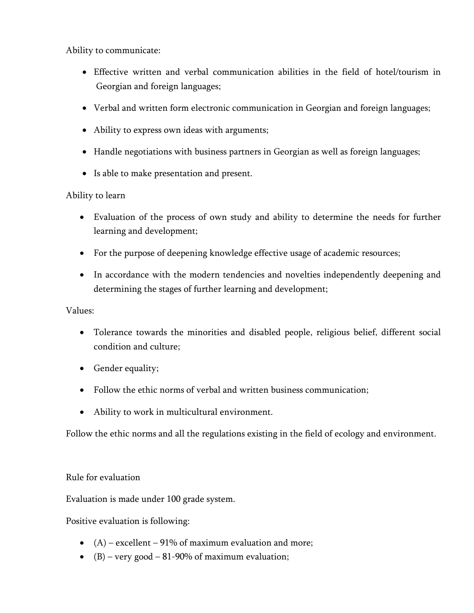Ability to communicate:

- Effective written and verbal communication abilities in the field of hotel/tourism in Georgian and foreign languages;
- Verbal and written form electronic communication in Georgian and foreign languages;
- Ability to express own ideas with arguments;
- Handle negotiations with business partners in Georgian as well as foreign languages;
- Is able to make presentation and present.

## Ability to learn

- Evaluation of the process of own study and ability to determine the needs for further learning and development;
- For the purpose of deepening knowledge effective usage of academic resources;
- In accordance with the modern tendencies and novelties independently deepening and determining the stages of further learning and development;

## Values:

- Tolerance towards the minorities and disabled people, religious belief, different social condition and culture;
- Gender equality;
- Follow the ethic norms of verbal and written business communication;
- Ability to work in multicultural environment.

Follow the ethic norms and all the regulations existing in the field of ecology and environment.

## Rule for evaluation

Evaluation is made under 100 grade system.

Positive evaluation is following:

- $(A)$  excellent 91% of maximum evaluation and more;
- (B) very good 81-90% of maximum evaluation;